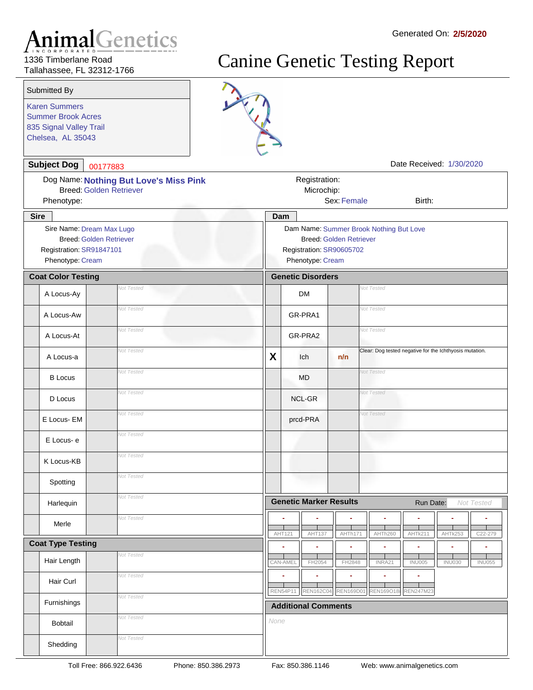1336 Timberlane Road Tallahassee, FL 32312-1766

### Canine Genetic Testing Report

| Submitted By              |  |  |  |  |  |
|---------------------------|--|--|--|--|--|
| <b>Karen Summers</b>      |  |  |  |  |  |
| <b>Summer Brook Acres</b> |  |  |  |  |  |

835 Signal Valley Trail Chelsea, AL 35043



| <b>Subject Dog</b>                                                                                          | 00177883          |                                                                                                                           |                                           |                        | Date Received: 1/30/2020                                  |  |  |  |  |
|-------------------------------------------------------------------------------------------------------------|-------------------|---------------------------------------------------------------------------------------------------------------------------|-------------------------------------------|------------------------|-----------------------------------------------------------|--|--|--|--|
| Dog Name: Nothing But Love's Miss Pink<br><b>Breed: Golden Retriever</b><br>Phenotype:                      |                   | Registration:<br>Microchip:                                                                                               | Sex: Female                               | Birth:                 |                                                           |  |  |  |  |
| <b>Sire</b>                                                                                                 |                   |                                                                                                                           | Dam                                       |                        |                                                           |  |  |  |  |
| Sire Name: Dream Max Lugo<br><b>Breed: Golden Retriever</b><br>Registration: SR91847101<br>Phenotype: Cream |                   | Dam Name: Summer Brook Nothing But Love<br><b>Breed: Golden Retriever</b><br>Registration: SR90605702<br>Phenotype: Cream |                                           |                        |                                                           |  |  |  |  |
| <b>Coat Color Testing</b>                                                                                   |                   |                                                                                                                           | <b>Genetic Disorders</b>                  |                        |                                                           |  |  |  |  |
| A Locus-Ay                                                                                                  | <b>Not Tested</b> |                                                                                                                           | <b>Vot Tested</b><br><b>DM</b>            |                        |                                                           |  |  |  |  |
| A Locus-Aw                                                                                                  | <b>Not Tested</b> |                                                                                                                           | GR-PRA1                                   |                        | Vot Tested                                                |  |  |  |  |
| A Locus-At                                                                                                  | Not Tested        |                                                                                                                           | GR-PRA2                                   |                        | Vot Tested                                                |  |  |  |  |
| A Locus-a                                                                                                   | Not Tested        | X                                                                                                                         | Ich                                       | n/n                    | Clear: Dog tested negative for the Ichthyosis mutation.   |  |  |  |  |
| <b>B</b> Locus                                                                                              | <b>Not Tested</b> |                                                                                                                           | <b>MD</b>                                 |                        | <b>Vot Tested</b>                                         |  |  |  |  |
| D Locus                                                                                                     |                   | <b>Vot Tested</b><br><b>NCL-GR</b>                                                                                        |                                           |                        |                                                           |  |  |  |  |
| E Locus- EM                                                                                                 | Not Tested        |                                                                                                                           | <b>Vot Tested</b><br>prcd-PRA             |                        |                                                           |  |  |  |  |
| E Locus-e                                                                                                   | <b>Not Tested</b> |                                                                                                                           |                                           |                        |                                                           |  |  |  |  |
| K Locus-KB                                                                                                  | <b>Not Tested</b> |                                                                                                                           |                                           |                        |                                                           |  |  |  |  |
| Spotting                                                                                                    | <b>Not Tested</b> |                                                                                                                           |                                           |                        |                                                           |  |  |  |  |
| Harlequin                                                                                                   | <b>Not Tested</b> |                                                                                                                           | <b>Genetic Marker Results</b>             |                        | Run Date:<br>Not Tested                                   |  |  |  |  |
| Merle                                                                                                       | <b>Not Tested</b> |                                                                                                                           | AHT121<br>AHT137                          | AHTh171                | AHTh260<br>AHTk253<br>AHTk211<br>C22-279                  |  |  |  |  |
| <b>Coat Type Testing</b>                                                                                    |                   |                                                                                                                           | ÷                                         | ÷                      | ÷<br>÷,<br>٠                                              |  |  |  |  |
| Hair Length                                                                                                 | Vot Tested        |                                                                                                                           | CAN-AMEL<br>FH2054                        | FH2848                 | <b>INU005</b><br><b>INU030</b><br><b>INU055</b><br>INRA21 |  |  |  |  |
| Hair Curl                                                                                                   | <b>Not Tested</b> |                                                                                                                           | ä,<br><b>REN54P11</b><br><b>REN162C04</b> | ä,<br><b>REN169D01</b> | ÷<br>÷<br>REN169O18i<br><b>REN247M23</b>                  |  |  |  |  |
| Furnishings                                                                                                 | <b>Not Tested</b> |                                                                                                                           | <b>Additional Comments</b>                |                        |                                                           |  |  |  |  |
| Bobtail                                                                                                     | <b>Not Tested</b> | None                                                                                                                      |                                           |                        |                                                           |  |  |  |  |
| Shedding                                                                                                    | <b>Vot Tested</b> |                                                                                                                           |                                           |                        |                                                           |  |  |  |  |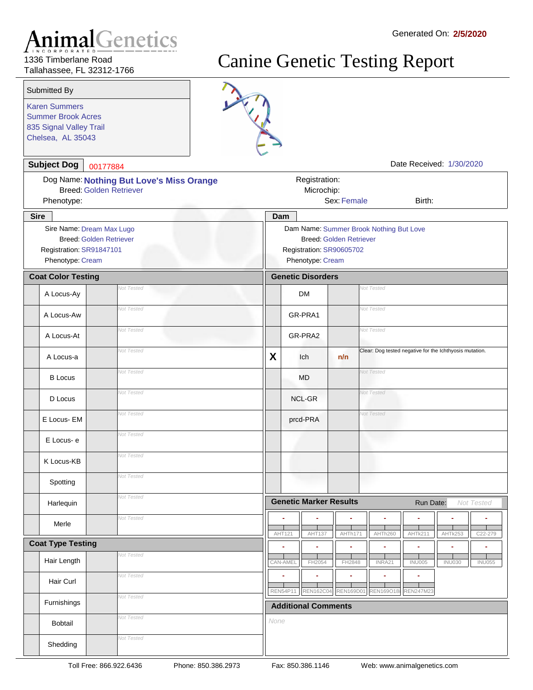1336 Timberlane Road Tallahassee, FL 32312-1766

Karen Summers

Submitted By

835 Signal Valley Trail Chelsea, AL 35043

Summer Brook Acres

### Canine Genetic Testing Report



|                                                                                                             | <b>Subject Dog</b>        | 00177884          | $\blacktriangleright$ |                                                                                                                           |                       |                        | Date Received: 1/30/2020 |               |               |  |
|-------------------------------------------------------------------------------------------------------------|---------------------------|-------------------|-----------------------|---------------------------------------------------------------------------------------------------------------------------|-----------------------|------------------------|--------------------------|---------------|---------------|--|
| Dog Name: Nothing But Love's Miss Orange<br><b>Breed: Golden Retriever</b><br>Phenotype:                    |                           |                   |                       | Registration:<br>Microchip:<br>Sex: Female<br>Birth:                                                                      |                       |                        |                          |               |               |  |
| <b>Sire</b>                                                                                                 |                           |                   | Dam                   |                                                                                                                           |                       |                        |                          |               |               |  |
| Sire Name: Dream Max Lugo<br><b>Breed: Golden Retriever</b><br>Registration: SR91847101<br>Phenotype: Cream |                           |                   |                       | Dam Name: Summer Brook Nothing But Love<br><b>Breed: Golden Retriever</b><br>Registration: SR90605702<br>Phenotype: Cream |                       |                        |                          |               |               |  |
|                                                                                                             | <b>Coat Color Testing</b> |                   |                       | <b>Genetic Disorders</b>                                                                                                  |                       |                        |                          |               |               |  |
|                                                                                                             | A Locus-Ay                | <b>Vot Tested</b> |                       | <b>DM</b>                                                                                                                 |                       | Vot Tested             |                          |               |               |  |
|                                                                                                             | A Locus-Aw                | <b>Not Tested</b> |                       | GR-PRA1                                                                                                                   |                       | Not Tested             |                          |               |               |  |
|                                                                                                             | A Locus-At                | <b>Not Tested</b> |                       | <b>Vot Tested</b><br>GR-PRA2                                                                                              |                       |                        |                          |               |               |  |
|                                                                                                             | A Locus-a                 | <b>Not Tested</b> | X                     | Clear: Dog tested negative for the Ichthyosis mutation.<br>Ich<br>n/n                                                     |                       |                        |                          |               |               |  |
|                                                                                                             | <b>B</b> Locus            | <b>Not Tested</b> |                       | <b>Vot Tested</b><br><b>MD</b>                                                                                            |                       |                        |                          |               |               |  |
|                                                                                                             | D Locus                   | <b>Not Tested</b> |                       | <b>NCL-GR</b>                                                                                                             |                       | <b>Vot Tested</b>      |                          |               |               |  |
|                                                                                                             | E Locus- EM               | <b>Not Tested</b> |                       | <b>Vot Tested</b><br>prcd-PRA                                                                                             |                       |                        |                          |               |               |  |
|                                                                                                             | E Locus-e                 | <b>Not Tested</b> |                       |                                                                                                                           |                       |                        |                          |               |               |  |
|                                                                                                             | K Locus-KB                | <b>Not Tested</b> |                       |                                                                                                                           |                       |                        |                          |               |               |  |
|                                                                                                             | Spotting                  | <b>Not Tested</b> |                       |                                                                                                                           |                       |                        |                          |               |               |  |
|                                                                                                             | Harlequin                 | Vot Tested        |                       | <b>Genetic Marker Results</b>                                                                                             |                       |                        | Run Date:                | Not Tested    |               |  |
|                                                                                                             | Merle                     | Vot Tested        | AHT121                | <b>AHT137</b>                                                                                                             | AHTh171               | AHTh260                | ä,<br>AHTk211            | AHTk253       | C22-279       |  |
|                                                                                                             | <b>Coat Type Testing</b>  |                   | ä,                    | ä,                                                                                                                        | ÷                     | ÷                      | Ξ                        | ÷             | ÷             |  |
|                                                                                                             | Hair Length               | Vot Tested        | CAN-AMEL              | FH2054                                                                                                                    | FH2848                | INRA21                 | <b>INU005</b>            | <b>INU030</b> | <b>INU055</b> |  |
|                                                                                                             | Hair Curl                 | Vot Tested        | ۰<br><b>REN54P11</b>  | ä,<br><b>REN162C04</b>                                                                                                    | ٠<br><b>REN169D01</b> | ٠<br><b>REN169O18i</b> | ÷,<br><b>REN247M23</b>   |               |               |  |
|                                                                                                             | Furnishings               | Vot Tested        |                       | <b>Additional Comments</b>                                                                                                |                       |                        |                          |               |               |  |
|                                                                                                             | Bobtail                   | <b>Vot Tested</b> | None                  |                                                                                                                           |                       |                        |                          |               |               |  |
|                                                                                                             | Shedding                  | Vot Tested        |                       |                                                                                                                           |                       |                        |                          |               |               |  |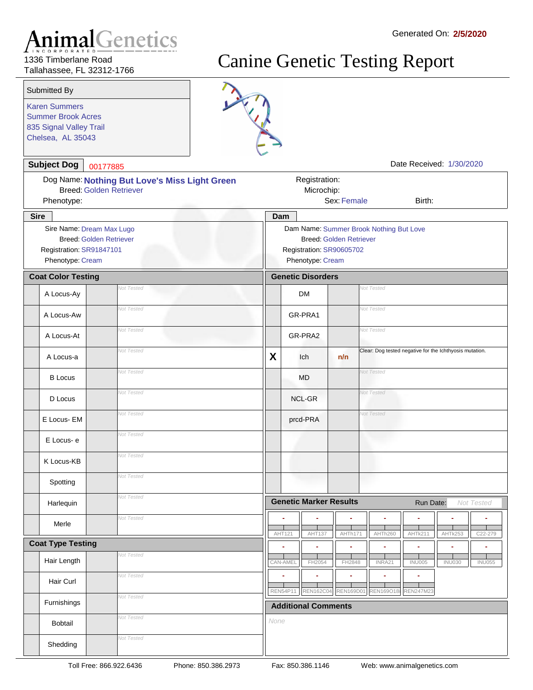1336 Timberlane Road Tallahassee, FL 32312-1766

Karen Summers

Submitted By

835 Signal Valley Trail Chelsea, AL 35043

Summer Brook Acres

### Canine Genetic Testing Report



|                                                                                                             |            | $\sim$ |                                                                                                                           |                       |                                                         |                          |               |                   |  |  |
|-------------------------------------------------------------------------------------------------------------|------------|--------|---------------------------------------------------------------------------------------------------------------------------|-----------------------|---------------------------------------------------------|--------------------------|---------------|-------------------|--|--|
| <b>Subject Dog</b>                                                                                          | 00177885   |        |                                                                                                                           |                       |                                                         | Date Received: 1/30/2020 |               |                   |  |  |
| Dog Name: Nothing But Love's Miss Light Green<br><b>Breed: Golden Retriever</b><br>Phenotype:               |            |        | Registration:<br>Microchip:<br>Sex: Female<br>Birth:                                                                      |                       |                                                         |                          |               |                   |  |  |
| <b>Sire</b>                                                                                                 |            | Dam    |                                                                                                                           |                       |                                                         |                          |               |                   |  |  |
| Sire Name: Dream Max Lugo<br><b>Breed: Golden Retriever</b><br>Registration: SR91847101<br>Phenotype: Cream |            |        | Dam Name: Summer Brook Nothing But Love<br><b>Breed: Golden Retriever</b><br>Registration: SR90605702<br>Phenotype: Cream |                       |                                                         |                          |               |                   |  |  |
| <b>Coat Color Testing</b>                                                                                   |            |        | <b>Genetic Disorders</b>                                                                                                  |                       |                                                         |                          |               |                   |  |  |
| A Locus-Ay                                                                                                  | Not Tested |        | <b>DM</b>                                                                                                                 |                       | <b>Vot Tested</b>                                       |                          |               |                   |  |  |
| A Locus-Aw                                                                                                  | Not Tested |        | GR-PRA1                                                                                                                   |                       | Not Tested                                              |                          |               |                   |  |  |
| A Locus-At                                                                                                  | Not Tested |        | GR-PRA2                                                                                                                   |                       | Not Tested                                              |                          |               |                   |  |  |
| A Locus-a                                                                                                   | Not Tested | X      | Ich                                                                                                                       | n/n                   | Clear: Dog tested negative for the Ichthyosis mutation. |                          |               |                   |  |  |
| <b>B</b> Locus                                                                                              | Not Tested |        | <b>MD</b>                                                                                                                 |                       | <b>Vot Tested</b>                                       |                          |               |                   |  |  |
| D Locus                                                                                                     | Not Tested |        | <b>NCL-GR</b>                                                                                                             |                       | <b>Vot Tested</b>                                       |                          |               |                   |  |  |
| E Locus-EM                                                                                                  | Not Tested |        | prcd-PRA                                                                                                                  |                       | <b>Vot Tested</b>                                       |                          |               |                   |  |  |
| E Locus-e                                                                                                   | Not Tested |        |                                                                                                                           |                       |                                                         |                          |               |                   |  |  |
| K Locus-KB                                                                                                  | Not Tested |        |                                                                                                                           |                       |                                                         |                          |               |                   |  |  |
| Spotting                                                                                                    | Not Tested |        |                                                                                                                           |                       |                                                         |                          |               |                   |  |  |
| Harlequin                                                                                                   | Not Tested |        | <b>Genetic Marker Results</b>                                                                                             |                       |                                                         | Run Date:                |               | <b>Not Tested</b> |  |  |
| Merle                                                                                                       | Not Tested |        | AHT121<br>AHT137                                                                                                          | AHTh171               | AHTh260                                                 | AHTk211                  | AHTk253       | C22-279           |  |  |
| <b>Coat Type Testing</b>                                                                                    |            |        | ٠<br>ä,                                                                                                                   | ÷                     | Ξ                                                       | ä,                       | ٠             | ÷                 |  |  |
| Hair Length                                                                                                 | Not Tested |        | CAN-AMEL<br>FH2054                                                                                                        | FH2848                | INRA21                                                  | INU005                   | <b>INU030</b> | <b>INU055</b>     |  |  |
| Hair Curl                                                                                                   | Not Tested |        | ٠<br>÷<br><b>REN54P11</b><br><b>REN162C04</b>                                                                             | ٠<br><b>REN169D01</b> | ٠<br><b>REN169O18i</b>                                  | ۰<br><b>REN247M23</b>    |               |                   |  |  |
| Furnishings                                                                                                 | Not Tested |        | <b>Additional Comments</b>                                                                                                |                       |                                                         |                          |               |                   |  |  |
| Bobtail                                                                                                     | Not Tested | None   |                                                                                                                           |                       |                                                         |                          |               |                   |  |  |
| Shedding                                                                                                    | Not Tested |        |                                                                                                                           |                       |                                                         |                          |               |                   |  |  |